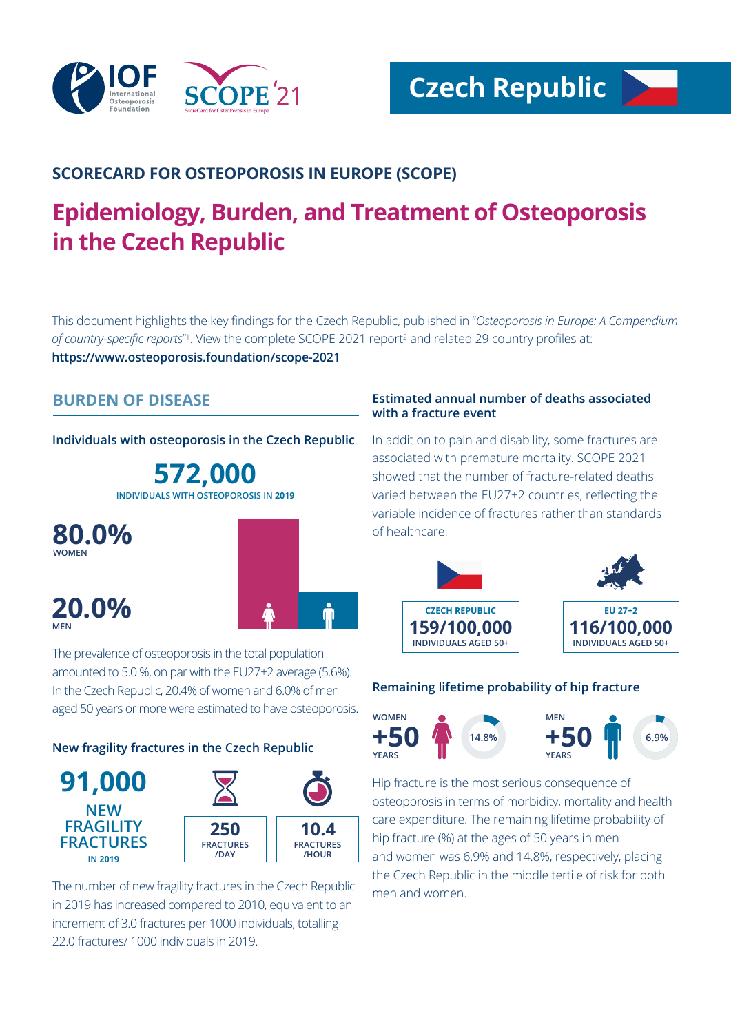

# **SCORECARD FOR OSTEOPOROSIS IN EUROPE (SCOPE)**

# **Epidemiology, Burden, and Treatment of Osteoporosis in the Czech Republic**

This document highlights the key findings for the Czech Republic, published in "*Osteoporosis in Europe: A Compendium*  of country-specific reports<sup>"</sup>. View the complete SCOPE 2021 report<sup>2</sup> and related 29 country profiles at: **https://www.osteoporosis.foundation/scope-2021**

# **BURDEN OF DISEASE**

**Individuals with osteoporosis in the Czech Republic**

**572,000 INDIVIDUALS WITH OSTEOPOROSIS IN 2019**



The prevalence of osteoporosis in the total population amounted to 5.0 %, on par with the EU27+2 average (5.6%). In the Czech Republic, 20.4% of women and 6.0% of men aged 50 years or more were estimated to have osteoporosis.

# **New fragility fractures in the Czech Republic**



The number of new fragility fractures in the Czech Republic in 2019 has increased compared to 2010, equivalent to an increment of 3.0 fractures per 1000 individuals, totalling 22.0 fractures/ 1000 individuals in 2019.

# **Estimated annual number of deaths associated with a fracture event**

In addition to pain and disability, some fractures are associated with premature mortality. SCOPE 2021 showed that the number of fracture-related deaths varied between the EU27+2 countries, reflecting the variable incidence of fractures rather than standards of healthcare.



# **Remaining lifetime probability of hip fracture**



Hip fracture is the most serious consequence of osteoporosis in terms of morbidity, mortality and health care expenditure. The remaining lifetime probability of hip fracture (%) at the ages of 50 years in men and women was 6.9% and 14.8%, respectively, placing the Czech Republic in the middle tertile of risk for both men and women.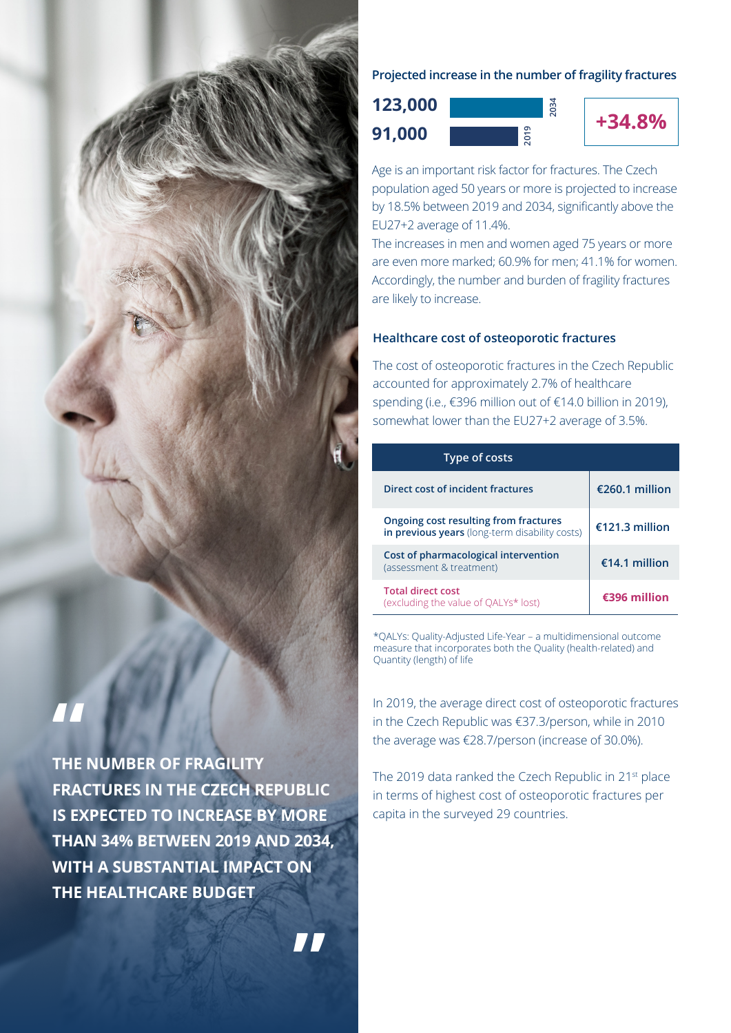

**THE NUMBER OF FRAGILITY FRACTURES IN THE CZECH REPUBLIC IS EXPECTED TO INCREASE BY MORE THAN 34% BETWEEN 2019 AND 2034, WITH A SUBSTANTIAL IMPACT ON THE HEALTHCARE BUDGET**

# **Projected increase in the number of fragility fractures**





Age is an important risk factor for fractures. The Czech population aged 50 years or more is projected to increase by 18.5% between 2019 and 2034, significantly above the EU27+2 average of 11.4%.

The increases in men and women aged 75 years or more are even more marked; 60.9% for men; 41.1% for women. Accordingly, the number and burden of fragility fractures are likely to increase.

# **Healthcare cost of osteoporotic fractures**

The cost of osteoporotic fractures in the Czech Republic accounted for approximately 2.7% of healthcare spending (i.e., €396 million out of €14.0 billion in 2019), somewhat lower than the EU27+2 average of 3.5%.

| <b>Type of costs</b>                                                                    |                |
|-----------------------------------------------------------------------------------------|----------------|
| Direct cost of incident fractures                                                       | €260.1 million |
| Ongoing cost resulting from fractures<br>in previous years (long-term disability costs) | €121.3 million |
| Cost of pharmacological intervention<br>(assessment & treatment)                        | €14.1 million  |
| <b>Total direct cost</b><br>(excluding the value of QALYs* lost)                        | €396 million   |

\*QALYs: Quality-Adjusted Life-Year – a multidimensional outcome measure that incorporates both the Quality (health-related) and Quantity (length) of life

In 2019, the average direct cost of osteoporotic fractures in the Czech Republic was €37.3/person, while in 2010 the average was €28.7/person (increase of 30.0%).

The 2019 data ranked the Czech Republic in 21st place in terms of highest cost of osteoporotic fractures per capita in the surveyed 29 countries.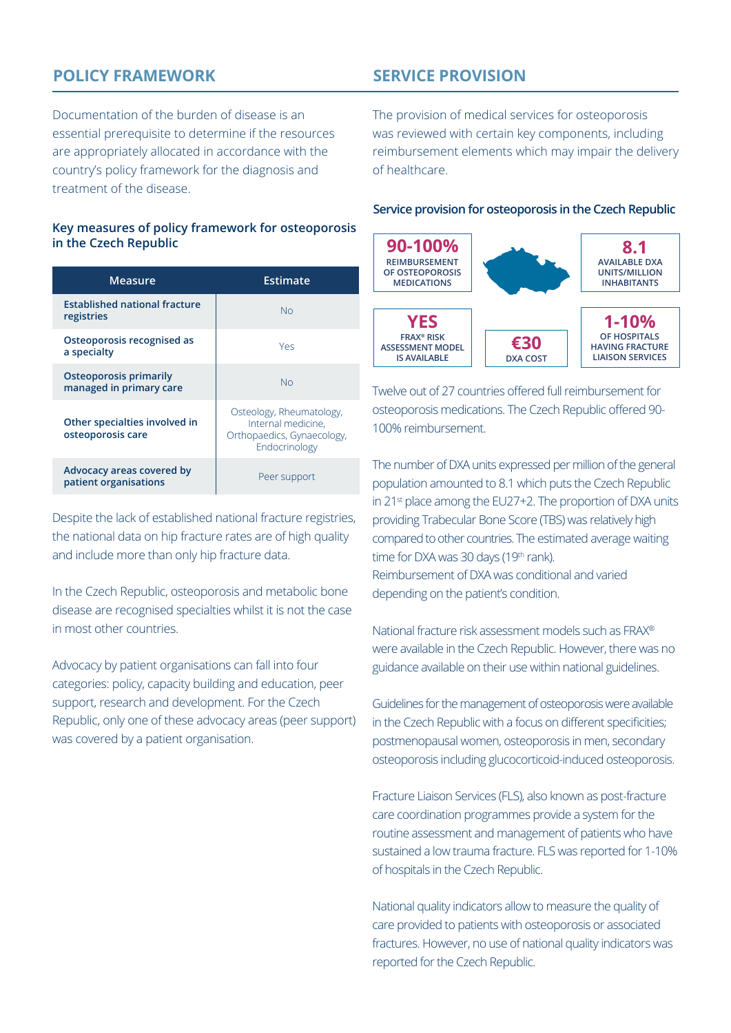# **POLICY FRAMEWORK**

Documentation of the burden of disease is an essential prerequisite to determine if the resources are appropriately allocated in accordance with the country's policy framework for the diagnosis and treatment of the disease.

## **Key measures of policy framework for osteoporosis in the Czech Republic**

| Measure                                                  | Estimate                                                                                      |
|----------------------------------------------------------|-----------------------------------------------------------------------------------------------|
| <b>Established national fracture</b><br>registries       | Nο                                                                                            |
| Osteoporosis recognised as<br>a specialty                | Yes                                                                                           |
| <b>Osteoporosis primarily</b><br>managed in primary care | N <sub>O</sub>                                                                                |
| Other specialties involved in<br>osteoporosis care       | Osteology, Rheumatology,<br>Internal medicine.<br>Orthopaedics, Gynaecology,<br>Endocrinology |
| Advocacy areas covered by<br>patient organisations       | Peer support                                                                                  |

Despite the lack of established national fracture registries, the national data on hip fracture rates are of high quality and include more than only hip fracture data.

In the Czech Republic, osteoporosis and metabolic bone disease are recognised specialties whilst it is not the case in most other countries.

Advocacy by patient organisations can fall into four categories: policy, capacity building and education, peer support, research and development. For the Czech Republic, only one of these advocacy areas (peer support) was covered by a patient organisation.

# **SERVICE PROVISION**

The provision of medical services for osteoporosis was reviewed with certain key components, including reimbursement elements which may impair the delivery of healthcare.

#### **Service provision for osteoporosis in the Czech Republic**



Twelve out of 27 countries offered full reimbursement for osteoporosis medications. The Czech Republic offered 90- 100% reimbursement.

The number of DXA units expressed per million of the general population amounted to 8.1 which puts the Czech Republic in 21<sup>st</sup> place among the EU27+2. The proportion of DXA units providing Trabecular Bone Score (TBS) was relatively high compared to other countries. The estimated average waiting time for DXA was 30 days (19<sup>th</sup> rank). Reimbursement of DXA was conditional and varied depending on the patient's condition.

National fracture risk assessment models such as FRAX® were available in the Czech Republic. However, there was no guidance available on their use within national guidelines.

Guidelines for the management of osteoporosis were available in the Czech Republic with a focus on different specificities; postmenopausal women, osteoporosis in men, secondary osteoporosis including glucocorticoid-induced osteoporosis.

Fracture Liaison Services (FLS), also known as post-fracture care coordination programmes provide a system for the routine assessment and management of patients who have sustained a low trauma fracture. FLS was reported for 1-10% of hospitals in the Czech Republic.

National quality indicators allow to measure the quality of care provided to patients with osteoporosis or associated fractures. However, no use of national quality indicators was reported for the Czech Republic.